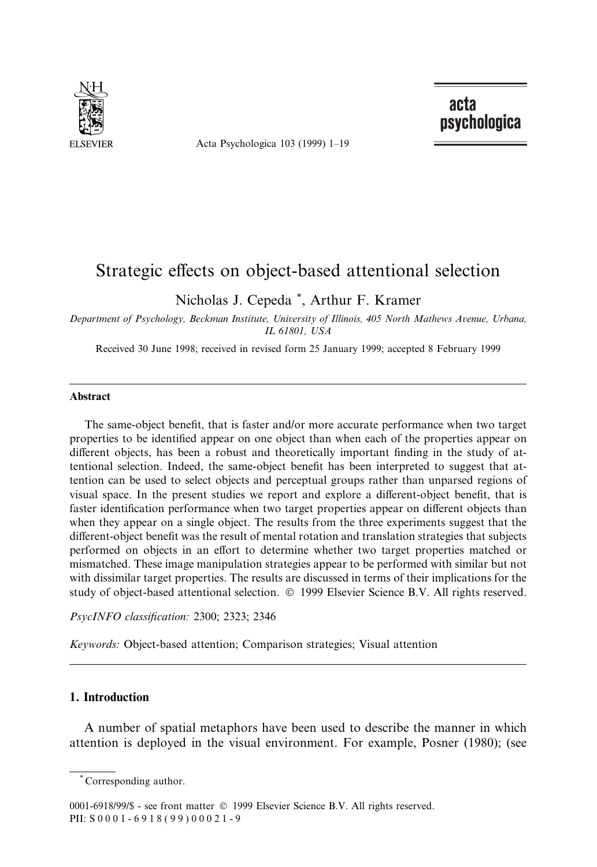

Acta Psychologica 103 (1999) 1-19

acta psychologica

# Strategic effects on object-based attentional selection

Nicholas J. Cepeda \* , Arthur F. Kramer

Department of Psychology, Beckman Institute, University of Illinois, 405 North Mathews Avenue, Urbana, IL 61801, USA

Received 30 June 1998; received in revised form 25 January 1999; accepted 8 February 1999

#### Abstract

The same-object benefit, that is faster and/or more accurate performance when two target properties to be identified appear on one object than when each of the properties appear on different objects, has been a robust and theoretically important finding in the study of attentional selection. Indeed, the same-object benefit has been interpreted to suggest that attention can be used to select objects and perceptual groups rather than unparsed regions of visual space. In the present studies we report and explore a different-object benefit, that is faster identification performance when two target properties appear on different objects than when they appear on a single object. The results from the three experiments suggest that the different-object benefit was the result of mental rotation and translation strategies that subjects performed on objects in an effort to determine whether two target properties matched or mismatched. These image manipulation strategies appear to be performed with similar but not with dissimilar target properties. The results are discussed in terms of their implications for the study of object-based attentional selection.  $©$  1999 Elsevier Science B.V. All rights reserved.

PsycINFO classification: 2300; 2323; 2346

Keywords: Object-based attention; Comparison strategies; Visual attention

# 1. Introduction

A number of spatial metaphors have been used to describe the manner in which attention is deployed in the visual environment. For example, Posner (1980); (see

Corresponding author.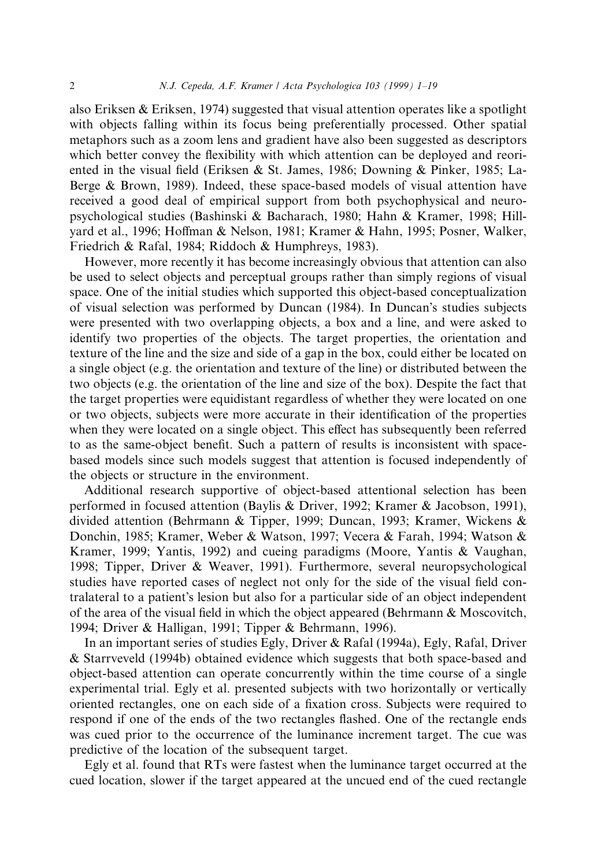also Eriksen  $\&$  Eriksen, 1974) suggested that visual attention operates like a spotlight with objects falling within its focus being preferentially processed. Other spatial metaphors such as a zoom lens and gradient have also been suggested as descriptors which better convey the flexibility with which attention can be deployed and reoriented in the visual field (Eriksen & St. James, 1986; Downing & Pinker, 1985; La-Berge & Brown, 1989). Indeed, these space-based models of visual attention have received a good deal of empirical support from both psychophysical and neuropsychological studies (Bashinski & Bacharach, 1980; Hahn & Kramer, 1998; Hillyard et al., 1996; Hoffman & Nelson, 1981; Kramer & Hahn, 1995; Posner, Walker, Friedrich & Rafal, 1984; Riddoch & Humphreys, 1983).

However, more recently it has become increasingly obvious that attention can also be used to select objects and perceptual groups rather than simply regions of visual space. One of the initial studies which supported this object-based conceptualization of visual selection was performed by Duncan (1984). In Duncan's studies subjects were presented with two overlapping objects, a box and a line, and were asked to identify two properties of the objects. The target properties, the orientation and texture of the line and the size and side of a gap in the box, could either be located on a single object (e.g. the orientation and texture of the line) or distributed between the two objects (e.g. the orientation of the line and size of the box). Despite the fact that the target properties were equidistant regardless of whether they were located on one or two objects, subjects were more accurate in their identification of the properties when they were located on a single object. This effect has subsequently been referred to as the same-object benefit. Such a pattern of results is inconsistent with spacebased models since such models suggest that attention is focused independently of the objects or structure in the environment.

Additional research supportive of object-based attentional selection has been performed in focused attention (Baylis & Driver, 1992; Kramer & Jacobson, 1991), divided attention (Behrmann & Tipper, 1999; Duncan, 1993; Kramer, Wickens & Donchin, 1985; Kramer, Weber & Watson, 1997; Vecera & Farah, 1994; Watson & Kramer, 1999; Yantis, 1992) and cueing paradigms (Moore, Yantis & Vaughan, 1998; Tipper, Driver & Weaver, 1991). Furthermore, several neuropsychological studies have reported cases of neglect not only for the side of the visual field contralateral to a patient's lesion but also for a particular side of an object independent of the area of the visual field in which the object appeared (Behrmann  $\&$  Moscovitch, 1994; Driver & Halligan, 1991; Tipper & Behrmann, 1996).

In an important series of studies Egly, Driver & Rafal (1994a), Egly, Rafal, Driver & Starrveveld (1994b) obtained evidence which suggests that both space-based and object-based attention can operate concurrently within the time course of a single experimental trial. Egly et al. presented subjects with two horizontally or vertically oriented rectangles, one on each side of a fixation cross. Subjects were required to respond if one of the ends of the two rectangles flashed. One of the rectangle ends was cued prior to the occurrence of the luminance increment target. The cue was predictive of the location of the subsequent target.

Egly et al. found that RTs were fastest when the luminance target occurred at the cued location, slower if the target appeared at the uncued end of the cued rectangle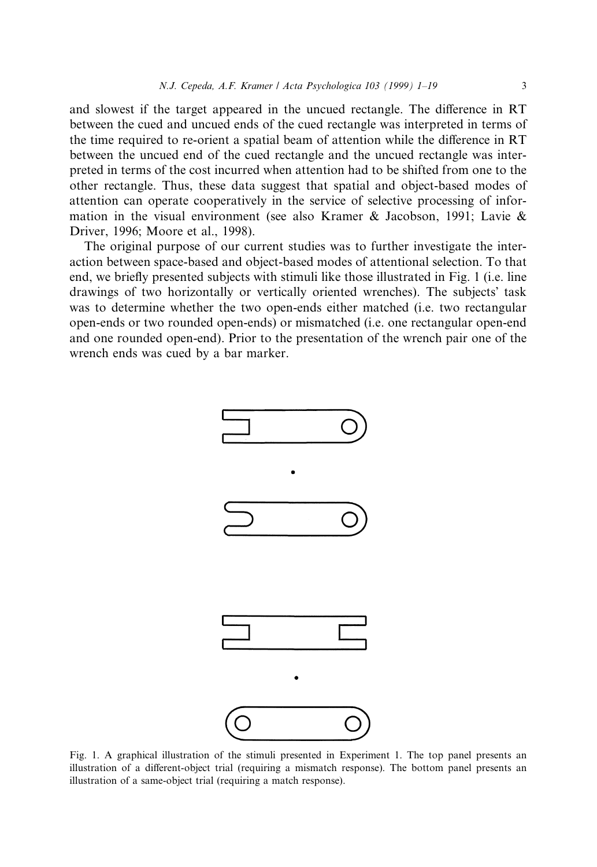and slowest if the target appeared in the uncued rectangle. The difference in RT between the cued and uncued ends of the cued rectangle was interpreted in terms of the time required to re-orient a spatial beam of attention while the difference in RT between the uncued end of the cued rectangle and the uncued rectangle was interpreted in terms of the cost incurred when attention had to be shifted from one to the other rectangle. Thus, these data suggest that spatial and object-based modes of attention can operate cooperatively in the service of selective processing of information in the visual environment (see also Kramer & Jacobson, 1991; Lavie & Driver, 1996; Moore et al., 1998).

The original purpose of our current studies was to further investigate the interaction between space-based and object-based modes of attentional selection. To that end, we briefly presented subjects with stimuli like those illustrated in Fig. 1 (i.e. line drawings of two horizontally or vertically oriented wrenches). The subjects' task was to determine whether the two open-ends either matched (i.e. two rectangular open-ends or two rounded open-ends) or mismatched (i.e. one rectangular open-end and one rounded open-end). Prior to the presentation of the wrench pair one of the wrench ends was cued by a bar marker.



Fig. 1. A graphical illustration of the stimuli presented in Experiment 1. The top panel presents an illustration of a different-object trial (requiring a mismatch response). The bottom panel presents an illustration of a same-object trial (requiring a match response).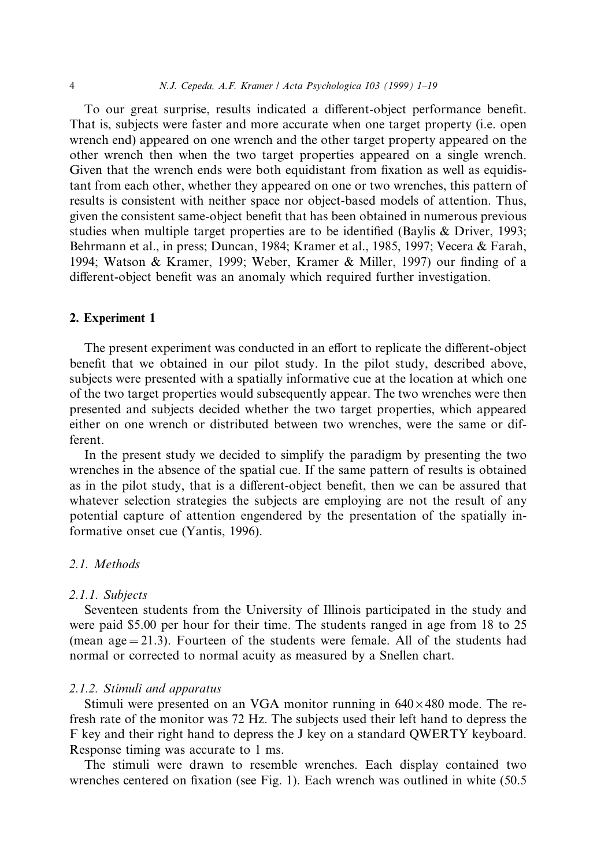To our great surprise, results indicated a different-object performance benefit. That is, subjects were faster and more accurate when one target property (i.e. open wrench end) appeared on one wrench and the other target property appeared on the other wrench then when the two target properties appeared on a single wrench. Given that the wrench ends were both equidistant from fixation as well as equidistant from each other, whether they appeared on one or two wrenches, this pattern of results is consistent with neither space nor object-based models of attention. Thus, given the consistent same-object benefit that has been obtained in numerous previous studies when multiple target properties are to be identified (Baylis  $& Driver, 1993;$ Behrmann et al., in press; Duncan, 1984; Kramer et al., 1985, 1997; Vecera & Farah, 1994; Watson & Kramer, 1999; Weber, Kramer & Miller, 1997) our finding of a different-object benefit was an anomaly which required further investigation.

#### 2. Experiment 1

The present experiment was conducted in an effort to replicate the different-object benefit that we obtained in our pilot study. In the pilot study, described above, subjects were presented with a spatially informative cue at the location at which one of the two target properties would subsequently appear. The two wrenches were then presented and subjects decided whether the two target properties, which appeared either on one wrench or distributed between two wrenches, were the same or different.

In the present study we decided to simplify the paradigm by presenting the two wrenches in the absence of the spatial cue. If the same pattern of results is obtained as in the pilot study, that is a different-object benefit, then we can be assured that whatever selection strategies the subjects are employing are not the result of any potential capture of attention engendered by the presentation of the spatially informative onset cue (Yantis, 1996).

## 2.1. Methods

## 2.1.1. Subjects

Seventeen students from the University of Illinois participated in the study and were paid \$5.00 per hour for their time. The students ranged in age from 18 to 25 (mean age  $= 21.3$ ). Fourteen of the students were female. All of the students had normal or corrected to normal acuity as measured by a Snellen chart.

## 2.1.2. Stimuli and apparatus

Stimuli were presented on an VGA monitor running in  $640 \times 480$  mode. The refresh rate of the monitor was 72 Hz. The subjects used their left hand to depress the F key and their right hand to depress the J key on a standard QWERTY keyboard. Response timing was accurate to 1 ms.

The stimuli were drawn to resemble wrenches. Each display contained two wrenches centered on fixation (see Fig. 1). Each wrench was outlined in white  $(50.5)$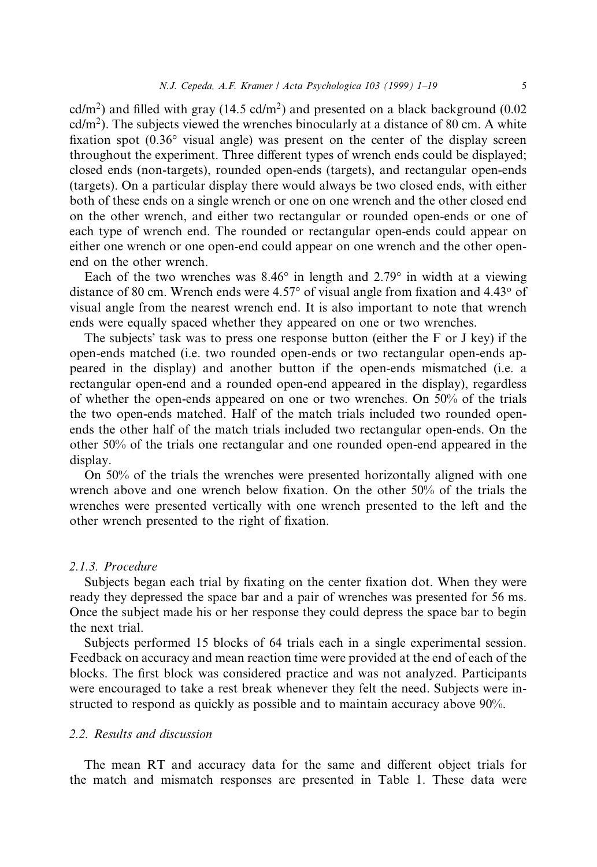cd/m<sup>2</sup>) and filled with gray (14.5 cd/m<sup>2</sup>) and presented on a black background (0.02 cd/ $m<sup>2</sup>$ ). The subjects viewed the wrenches binocularly at a distance of 80 cm. A white fixation spot  $(0.36^{\circ}$  visual angle) was present on the center of the display screen throughout the experiment. Three different types of wrench ends could be displayed; closed ends (non-targets), rounded open-ends (targets), and rectangular open-ends (targets). On a particular display there would always be two closed ends, with either both of these ends on a single wrench or one on one wrench and the other closed end on the other wrench, and either two rectangular or rounded open-ends or one of each type of wrench end. The rounded or rectangular open-ends could appear on either one wrench or one open-end could appear on one wrench and the other openend on the other wrench.

Each of the two wrenches was  $8.46^{\circ}$  in length and  $2.79^{\circ}$  in width at a viewing distance of 80 cm. Wrench ends were  $4.57^{\circ}$  of visual angle from fixation and  $4.43^{\circ}$  of visual angle from the nearest wrench end. It is also important to note that wrench ends were equally spaced whether they appeared on one or two wrenches.

The subjects' task was to press one response button (either the  $F$  or J key) if the open-ends matched (i.e. two rounded open-ends or two rectangular open-ends appeared in the display) and another button if the open-ends mismatched (i.e. a rectangular open-end and a rounded open-end appeared in the display), regardless of whether the open-ends appeared on one or two wrenches. On 50% of the trials the two open-ends matched. Half of the match trials included two rounded openends the other half of the match trials included two rectangular open-ends. On the other 50% of the trials one rectangular and one rounded open-end appeared in the display.

On 50% of the trials the wrenches were presented horizontally aligned with one wrench above and one wrench below fixation. On the other  $50\%$  of the trials the wrenches were presented vertically with one wrench presented to the left and the other wrench presented to the right of fixation.

#### 2.1.3. Procedure

Subjects began each trial by fixating on the center fixation dot. When they were ready they depressed the space bar and a pair of wrenches was presented for 56 ms. Once the subject made his or her response they could depress the space bar to begin the next trial.

Subjects performed 15 blocks of 64 trials each in a single experimental session. Feedback on accuracy and mean reaction time were provided at the end of each of the blocks. The first block was considered practice and was not analyzed. Participants were encouraged to take a rest break whenever they felt the need. Subjects were instructed to respond as quickly as possible and to maintain accuracy above 90%.

## 2.2. Results and discussion

The mean RT and accuracy data for the same and different object trials for the match and mismatch responses are presented in Table 1. These data were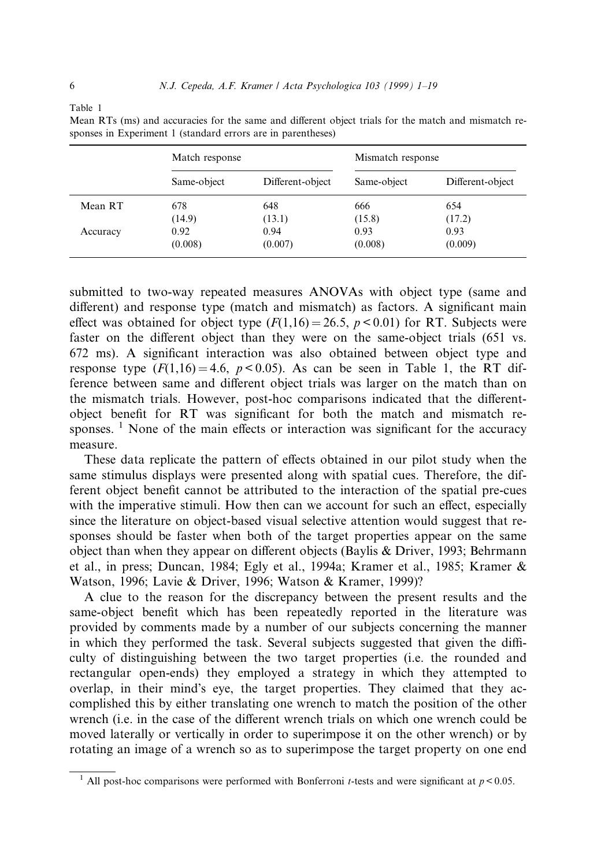| ۹ |  |
|---|--|
|   |  |

|          | Match response |                  | Mismatch response |                  |
|----------|----------------|------------------|-------------------|------------------|
|          | Same-object    | Different-object | Same-object       | Different-object |
| Mean RT  | 678            | 648              | 666               | 654              |
|          | (14.9)         | (13.1)           | (15.8)            | (17.2)           |
| Accuracy | 0.92           | 0.94             | 0.93              | 0.93             |
|          | (0.008)        | (0.007)          | (0.008)           | (0.009)          |

Mean RTs (ms) and accuracies for the same and different object trials for the match and mismatch responses in Experiment 1 (standard errors are in parentheses)

submitted to two-way repeated measures ANOVAs with object type (same and different) and response type (match and mismatch) as factors. A significant main effect was obtained for object type  $(F(1,16) = 26.5, p < 0.01)$  for RT. Subjects were faster on the different object than they were on the same-object trials (651 vs. 672 ms). A significant interaction was also obtained between object type and response type  $(F(1,16) = 4.6, p < 0.05)$ . As can be seen in Table 1, the RT difference between same and different object trials was larger on the match than on the mismatch trials. However, post-hoc comparisons indicated that the differentobject benefit for RT was significant for both the match and mismatch responses. <sup>1</sup> None of the main effects or interaction was significant for the accuracy measure.

These data replicate the pattern of effects obtained in our pilot study when the same stimulus displays were presented along with spatial cues. Therefore, the different object benefit cannot be attributed to the interaction of the spatial pre-cues with the imperative stimuli. How then can we account for such an effect, especially since the literature on object-based visual selective attention would suggest that responses should be faster when both of the target properties appear on the same object than when they appear on different objects (Baylis & Driver, 1993; Behrmann et al., in press; Duncan, 1984; Egly et al., 1994a; Kramer et al., 1985; Kramer & Watson, 1996; Lavie & Driver, 1996; Watson & Kramer, 1999)?

A clue to the reason for the discrepancy between the present results and the same-object benefit which has been repeatedly reported in the literature was provided by comments made by a number of our subjects concerning the manner in which they performed the task. Several subjects suggested that given the difficulty of distinguishing between the two target properties (i.e. the rounded and rectangular open-ends) they employed a strategy in which they attempted to overlap, in their mind's eye, the target properties. They claimed that they accomplished this by either translating one wrench to match the position of the other wrench (i.e. in the case of the different wrench trials on which one wrench could be moved laterally or vertically in order to superimpose it on the other wrench) or by rotating an image of a wrench so as to superimpose the target property on one end

<sup>&</sup>lt;sup>1</sup> All post-hoc comparisons were performed with Bonferroni *t*-tests and were significant at  $p < 0.05$ .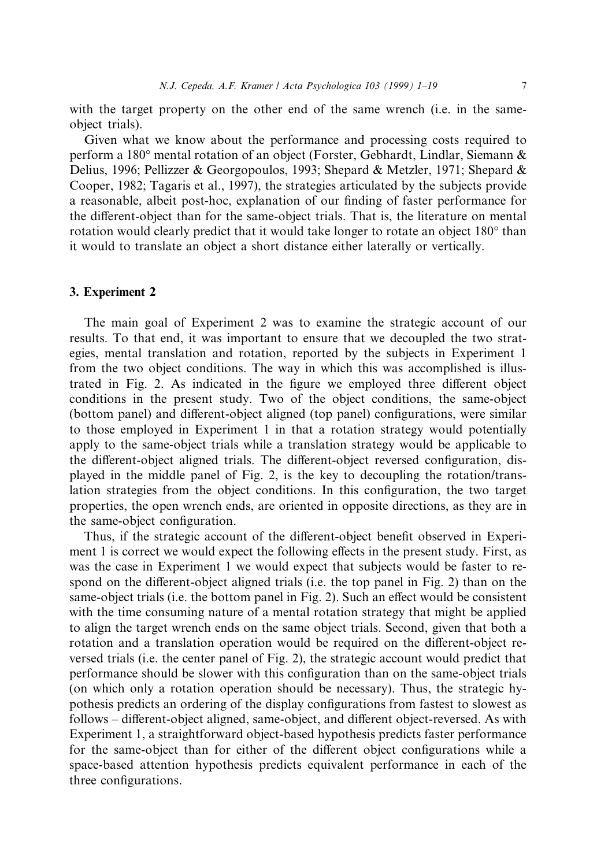with the target property on the other end of the same wrench (i.e. in the sameobject trials).

Given what we know about the performance and processing costs required to perform a 180° mental rotation of an object (Forster, Gebhardt, Lindlar, Siemann & Delius, 1996; Pellizzer & Georgopoulos, 1993; Shepard & Metzler, 1971; Shepard & Cooper, 1982; Tagaris et al., 1997), the strategies articulated by the subjects provide a reasonable, albeit post-hoc, explanation of our finding of faster performance for the different-object than for the same-object trials. That is, the literature on mental rotation would clearly predict that it would take longer to rotate an object 180° than it would to translate an object a short distance either laterally or vertically.

## 3. Experiment 2

The main goal of Experiment 2 was to examine the strategic account of our results. To that end, it was important to ensure that we decoupled the two strategies, mental translation and rotation, reported by the subjects in Experiment 1 from the two object conditions. The way in which this was accomplished is illustrated in Fig. 2. As indicated in the figure we employed three different object conditions in the present study. Two of the object conditions, the same-object (bottom panel) and different-object aligned (top panel) configurations, were similar to those employed in Experiment 1 in that a rotation strategy would potentially apply to the same-object trials while a translation strategy would be applicable to the different-object aligned trials. The different-object reversed configuration, displayed in the middle panel of Fig. 2, is the key to decoupling the rotation/translation strategies from the object conditions. In this configuration, the two target properties, the open wrench ends, are oriented in opposite directions, as they are in the same-object configuration.

Thus, if the strategic account of the different-object benefit observed in Experiment 1 is correct we would expect the following effects in the present study. First, as was the case in Experiment 1 we would expect that subjects would be faster to respond on the different-object aligned trials (i.e. the top panel in Fig. 2) than on the same-object trials (i.e. the bottom panel in Fig. 2). Such an effect would be consistent with the time consuming nature of a mental rotation strategy that might be applied to align the target wrench ends on the same object trials. Second, given that both a rotation and a translation operation would be required on the different-object reversed trials (i.e. the center panel of Fig. 2), the strategic account would predict that performance should be slower with this configuration than on the same-object trials (on which only a rotation operation should be necessary). Thus, the strategic hypothesis predicts an ordering of the display configurations from fastest to slowest as follows – different-object aligned, same-object, and different object-reversed. As with Experiment 1, a straightforward object-based hypothesis predicts faster performance for the same-object than for either of the different object configurations while a space-based attention hypothesis predicts equivalent performance in each of the three configurations.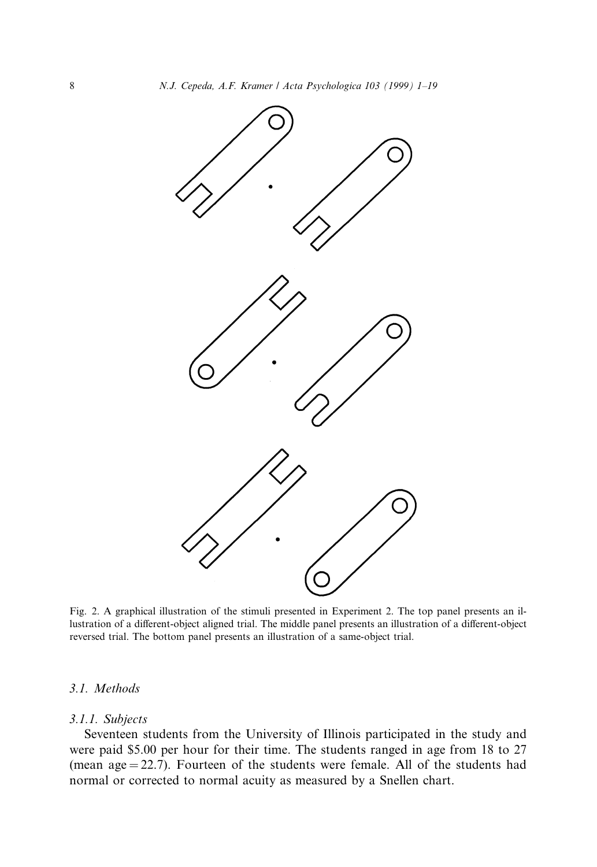

Fig. 2. A graphical illustration of the stimuli presented in Experiment 2. The top panel presents an illustration of a different-object aligned trial. The middle panel presents an illustration of a different-object reversed trial. The bottom panel presents an illustration of a same-object trial.

#### 3.1. Methods

#### 3.1.1. Subjects

Seventeen students from the University of Illinois participated in the study and were paid \$5.00 per hour for their time. The students ranged in age from 18 to 27 (mean  $age = 22.7$ ). Fourteen of the students were female. All of the students had normal or corrected to normal acuity as measured by a Snellen chart.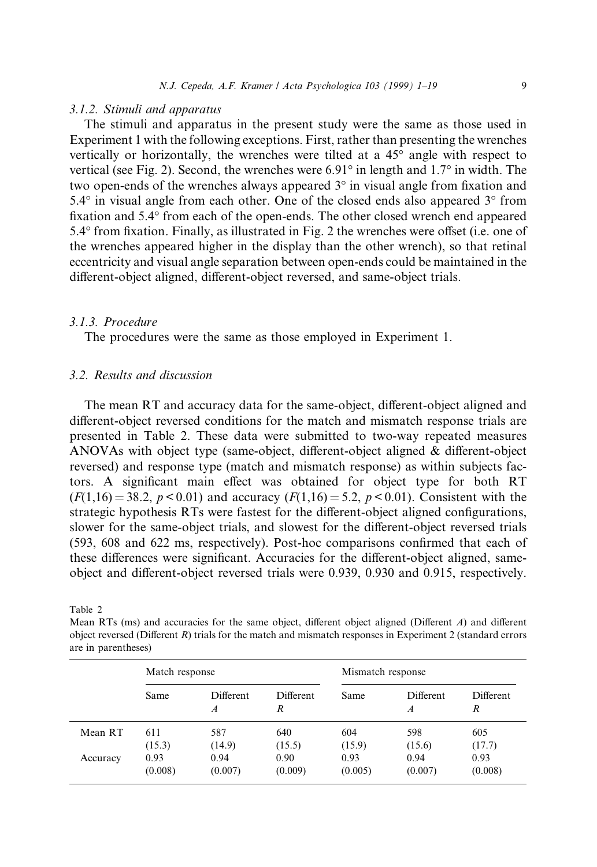#### 3.1.2. Stimuli and apparatus

The stimuli and apparatus in the present study were the same as those used in Experiment 1 with the following exceptions. First, ratherthan presenting the wrenches vertically or horizontally, the wrenches were tilted at a 45° angle with respect to vertical (see Fig. 2). Second, the wrenches were  $6.91^{\circ}$  in length and  $1.7^{\circ}$  in width. The two open-ends of the wrenches always appeared  $3^\circ$  in visual angle from fixation and 5.4° in visual angle from each other. One of the closed ends also appeared 3° from fixation and 5.4° from each of the open-ends. The other closed wrench end appeared  $5.4^{\circ}$  from fixation. Finally, as illustrated in Fig. 2 the wrenches were offset (i.e. one of the wrenches appeared higher in the display than the other wrench), so that retinal eccentricity and visual angle separation between open-ends could be maintained in the different-object aligned, different-object reversed, and same-object trials.

#### 3.1.3. Procedure

The procedures were the same as those employed in Experiment 1.

# 3.2. Results and discussion

The mean RT and accuracy data for the same-object, different-object aligned and different-object reversed conditions for the match and mismatch response trials are presented in Table 2. These data were submitted to two-way repeated measures ANOVAs with object type (same-object, different-object aligned  $\&$  different-object reversed) and response type (match and mismatch response) as within subjects factors. A significant main effect was obtained for object type for both RT  $(F(1,16) = 38.2, p < 0.01)$  and accuracy  $(F(1,16) = 5.2, p < 0.01)$ . Consistent with the strategic hypothesis RTs were fastest for the different-object aligned configurations, slower for the same-object trials, and slowest for the different-object reversed trials  $(593, 608 \text{ and } 622 \text{ ms},$  respectively). Post-hoc comparisons confirmed that each of these differences were significant. Accuracies for the different-object aligned, sameobject and different-object reversed trials were 0.939, 0.930 and 0.915, respectively.

Table 2

Mean RTs (ms) and accuracies for the same object, different object aligned (Different  $A$ ) and different object reversed (Different  $R$ ) trials for the match and mismatch responses in Experiment 2 (standard errors are in parentheses)

|          | Match response |                                      | Mismatch response     |         |                                      |                       |
|----------|----------------|--------------------------------------|-----------------------|---------|--------------------------------------|-----------------------|
|          | Same           | <b>Different</b><br>$\boldsymbol{A}$ | <b>Different</b><br>R | Same    | <b>Different</b><br>$\boldsymbol{A}$ | <b>Different</b><br>R |
| Mean RT  | 611            | 587                                  | 640                   | 604     | 598                                  | 605                   |
|          | (15.3)         | (14.9)                               | (15.5)                | (15.9)  | (15.6)                               | (17.7)                |
| Accuracy | 0.93           | 0.94                                 | 0.90                  | 0.93    | 0.94                                 | 0.93                  |
|          | (0.008)        | (0.007)                              | (0.009)               | (0.005) | (0.007)                              | (0.008)               |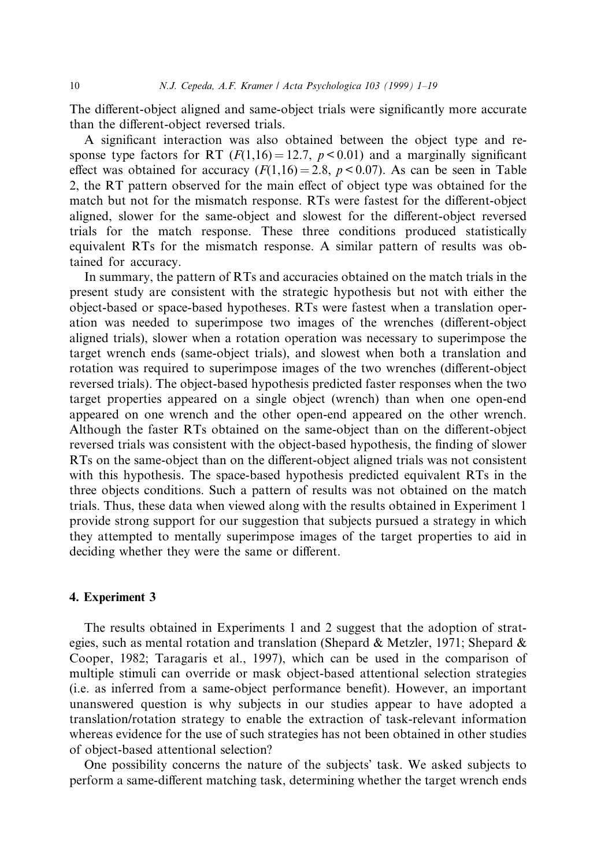The different-object aligned and same-object trials were significantly more accurate than the different-object reversed trials.

A significant interaction was also obtained between the object type and response type factors for RT ( $F(1,16) = 12.7$ ,  $p < 0.01$ ) and a marginally significant effect was obtained for accuracy  $(F(1,16) = 2.8, p < 0.07)$ . As can be seen in Table 2, the RT pattern observed for the main effect of object type was obtained for the match but not for the mismatch response. RTs were fastest for the different-object aligned, slower for the same-object and slowest for the different-object reversed trials for the match response. These three conditions produced statistically equivalent RTs for the mismatch response. A similar pattern of results was obtained for accuracy.

In summary, the pattern of RTs and accuracies obtained on the match trials in the present study are consistent with the strategic hypothesis but not with either the object-based or space-based hypotheses. RTs were fastest when a translation operation was needed to superimpose two images of the wrenches (different-object aligned trials), slower when a rotation operation was necessary to superimpose the target wrench ends (same-object trials), and slowest when both a translation and rotation was required to superimpose images of the two wrenches (different-object reversed trials). The object-based hypothesis predicted faster responses when the two target properties appeared on a single object (wrench) than when one open-end appeared on one wrench and the other open-end appeared on the other wrench. Although the faster RTs obtained on the same-object than on the different-object reversed trials was consistent with the object-based hypothesis, the finding of slower RTs on the same-object than on the different-object aligned trials was not consistent with this hypothesis. The space-based hypothesis predicted equivalent RTs in the three objects conditions. Such a pattern of results was not obtained on the match trials. Thus, these data when viewed along with the results obtained in Experiment 1 provide strong support for our suggestion that subjects pursued a strategy in which they attempted to mentally superimpose images of the target properties to aid in deciding whether they were the same or different.

## 4. Experiment 3

The results obtained in Experiments 1 and 2 suggest that the adoption of strategies, such as mental rotation and translation (Shepard & Metzler, 1971; Shepard & Cooper, 1982; Taragaris et al., 1997), which can be used in the comparison of multiple stimuli can override or mask object-based attentional selection strategies (i.e. as inferred from a same-object performance benefit). However, an important unanswered question is why subjects in our studies appear to have adopted a translation/rotation strategy to enable the extraction of task-relevant information whereas evidence for the use of such strategies has not been obtained in other studies of object-based attentional selection?

One possibility concerns the nature of the subjects' task. We asked subjects to perform a same-different matching task, determining whether the target wrench ends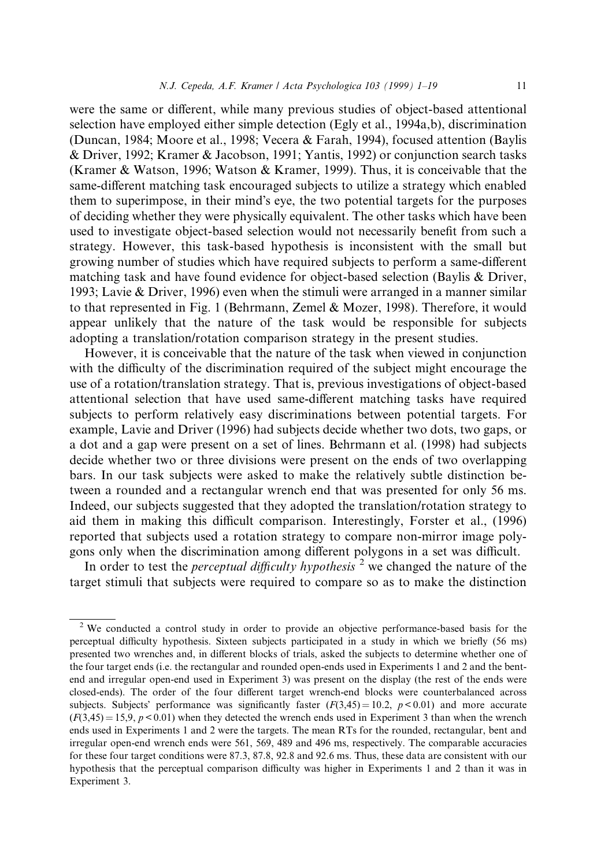were the same or different, while many previous studies of object-based attentional selection have employed either simple detection (Egly et al., 1994a,b), discrimination (Duncan, 1984; Moore et al., 1998; Vecera & Farah, 1994), focused attention (Baylis & Driver, 1992; Kramer & Jacobson, 1991; Yantis, 1992) or conjunction search tasks (Kramer & Watson, 1996; Watson & Kramer, 1999). Thus, it is conceivable that the same-different matching task encouraged subjects to utilize a strategy which enabled them to superimpose, in their mind's eye, the two potential targets for the purposes of deciding whether they were physically equivalent. The other tasks which have been used to investigate object-based selection would not necessarily benefit from such a strategy. However, this task-based hypothesis is inconsistent with the small but growing number of studies which have required subjects to perform a same-different matching task and have found evidence for object-based selection (Baylis & Driver, 1993; Lavie & Driver, 1996) even when the stimuli were arranged in a manner similar to that represented in Fig. 1 (Behrmann, Zemel & Mozer, 1998). Therefore, it would appear unlikely that the nature of the task would be responsible for subjects adopting a translation/rotation comparison strategy in the present studies.

However, it is conceivable that the nature of the task when viewed in conjunction with the difficulty of the discrimination required of the subject might encourage the use of a rotation/translation strategy. That is, previous investigations of object-based attentional selection that have used same-different matching tasks have required subjects to perform relatively easy discriminations between potential targets. For example, Lavie and Driver (1996) had subjects decide whether two dots, two gaps, or a dot and a gap were present on a set of lines. Behrmann et al. (1998) had subjects decide whether two or three divisions were present on the ends of two overlapping bars. In our task subjects were asked to make the relatively subtle distinction between a rounded and a rectangular wrench end that was presented for only 56 ms. Indeed, our subjects suggested that they adopted the translation/rotation strategy to aid them in making this difficult comparison. Interestingly, Forster et al., (1996) reported that subjects used a rotation strategy to compare non-mirror image polygons only when the discrimination among different polygons in a set was difficult.

In order to test the *perceptual difficulty hypothesis*<sup>2</sup> we changed the nature of the target stimuli that subjects were required to compare so as to make the distinction

<sup>&</sup>lt;sup>2</sup> We conducted a control study in order to provide an objective performance-based basis for the perceptual difficulty hypothesis. Sixteen subjects participated in a study in which we briefly (56 ms) presented two wrenches and, in different blocks of trials, asked the subjects to determine whether one of the four target ends (i.e. the rectangular and rounded open-ends used in Experiments 1 and 2 and the bentend and irregular open-end used in Experiment 3) was present on the display (the rest of the ends were closed-ends). The order of the four different target wrench-end blocks were counterbalanced across subjects. Subjects' performance was significantly faster  $(F(3,45) = 10.2, p < 0.01)$  and more accurate  $(F(3,45) = 15,9, p < 0.01)$  when they detected the wrench ends used in Experiment 3 than when the wrench ends used in Experiments 1 and 2 were the targets. The mean RTs for the rounded, rectangular, bent and irregular open-end wrench ends were 561, 569, 489 and 496 ms, respectively. The comparable accuracies for these four target conditions were 87.3, 87.8, 92.8 and 92.6 ms. Thus, these data are consistent with our hypothesis that the perceptual comparison difficulty was higher in Experiments 1 and 2 than it was in Experiment 3.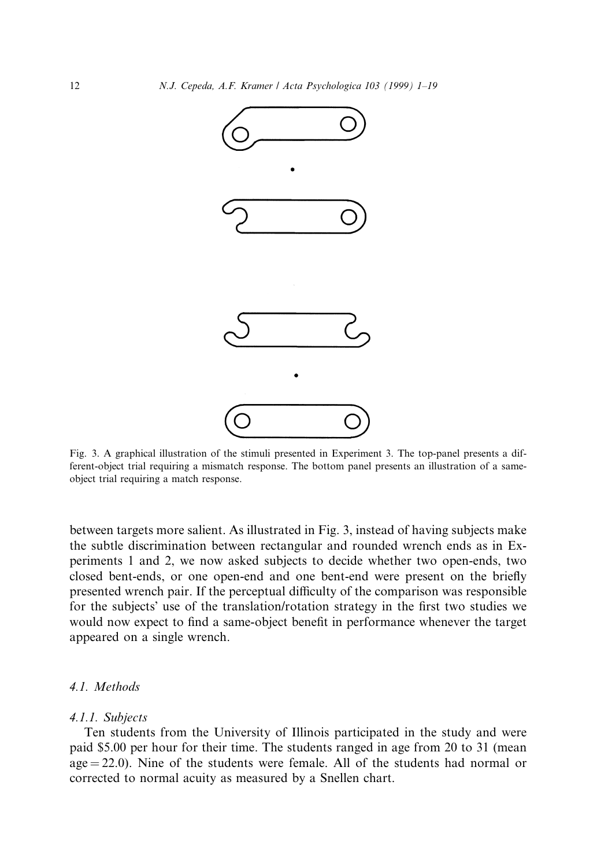

Fig. 3. A graphical illustration of the stimuli presented in Experiment 3. The top-panel presents a different-object trial requiring a mismatch response. The bottom panel presents an illustration of a sameobject trial requiring a match response.

between targets more salient. As illustrated in Fig. 3, instead of having subjects make the subtle discrimination between rectangular and rounded wrench ends as in Experiments 1 and 2, we now asked subjects to decide whether two open-ends, two closed bent-ends, or one open-end and one bent-end were present on the briefly presented wrench pair. If the perceptual difficulty of the comparison was responsible for the subjects' use of the translation/rotation strategy in the first two studies we would now expect to find a same-object benefit in performance whenever the target appeared on a single wrench.

# 4.1. Methods

#### 4.1.1. Subjects

Ten students from the University of Illinois participated in the study and were paid \$5.00 per hour for their time. The students ranged in age from 20 to 31 (mean  $age = 22.0$ . Nine of the students were female. All of the students had normal or corrected to normal acuity as measured by a Snellen chart.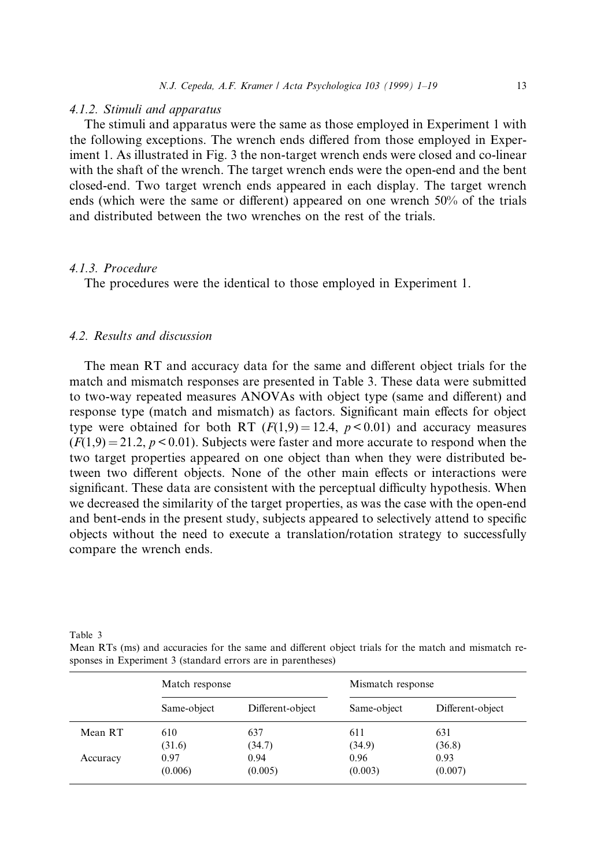#### 4.1.2. Stimuli and apparatus

The stimuli and apparatus were the same as those employed in Experiment 1 with the following exceptions. The wrench ends differed from those employed in Experiment 1. As illustrated in Fig. 3 the non-target wrench ends were closed and co-linear with the shaft of the wrench. The target wrench ends were the open-end and the bent closed-end. Two target wrench ends appeared in each display. The target wrench ends (which were the same or different) appeared on one wrench 50% of the trials and distributed between the two wrenches on the rest of the trials.

## 4.1.3. Procedure

The procedures were the identical to those employed in Experiment 1.

# 4.2. Results and discussion

The mean RT and accuracy data for the same and different object trials for the match and mismatch responses are presented in Table 3. These data were submitted to two-way repeated measures ANOVAs with object type (same and different) and response type (match and mismatch) as factors. Significant main effects for object type were obtained for both RT  $(F(1,9) = 12.4, p < 0.01)$  and accuracy measures  $(F(1,9) = 21.2, p < 0.01)$ . Subjects were faster and more accurate to respond when the two target properties appeared on one object than when they were distributed between two different objects. None of the other main effects or interactions were significant. These data are consistent with the perceptual difficulty hypothesis. When we decreased the similarity of the target properties, as was the case with the open-end and bent-ends in the present study, subjects appeared to selectively attend to specific objects without the need to execute a translation/rotation strategy to successfully compare the wrench ends.

Table 3

Mean RTs (ms) and accuracies for the same and different object trials for the match and mismatch responses in Experiment 3 (standard errors are in parentheses)

|          | Match response |                  | Mismatch response |                  |
|----------|----------------|------------------|-------------------|------------------|
|          | Same-object    | Different-object | Same-object       | Different-object |
| Mean RT  | 610            | 637              | 611               | 631              |
|          | (31.6)         | (34.7)           | (34.9)            | (36.8)           |
| Accuracy | 0.97           | 0.94             | 0.96              | 0.93             |
|          | (0.006)        | (0.005)          | (0.003)           | (0.007)          |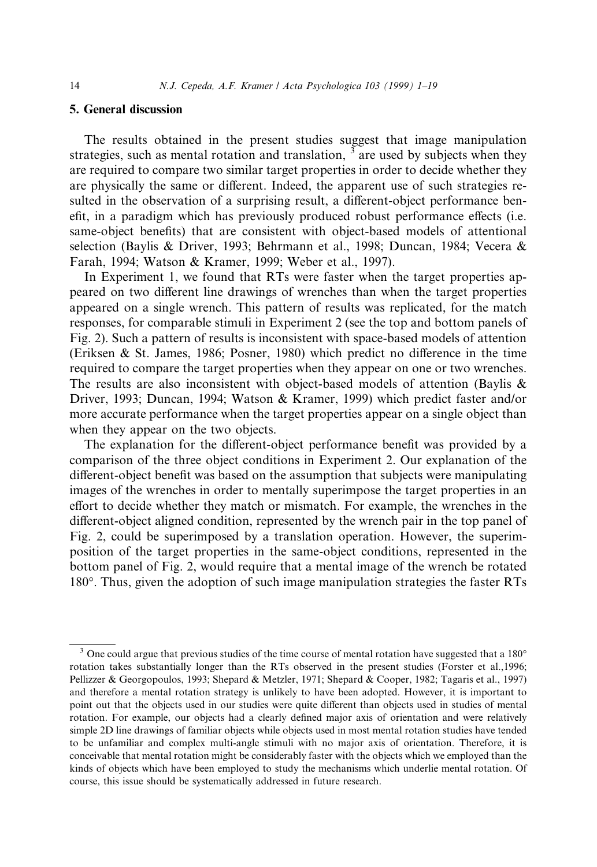# 5. General discussion

The results obtained in the present studies suggest that image manipulation strategies, such as mental rotation and translation,  $\frac{3}{3}$  are used by subjects when they are required to compare two similar target properties in order to decide whether they are physically the same or different. Indeed, the apparent use of such strategies resulted in the observation of a surprising result, a different-object performance benefit, in a paradigm which has previously produced robust performance effects (i.e. same-object benefits) that are consistent with object-based models of attentional selection (Baylis & Driver, 1993; Behrmann et al., 1998; Duncan, 1984; Vecera & Farah, 1994; Watson & Kramer, 1999; Weber et al., 1997).

In Experiment 1, we found that RTs were faster when the target properties appeared on two different line drawings of wrenches than when the target properties appeared on a single wrench. This pattern of results was replicated, for the match responses, for comparable stimuli in Experiment 2 (see the top and bottom panels of Fig. 2). Such a pattern of results is inconsistent with space-based models of attention (Eriksen & St. James, 1986; Posner, 1980) which predict no difference in the time required to compare the target properties when they appear on one or two wrenches. The results are also inconsistent with object-based models of attention (Baylis  $\&$ Driver, 1993; Duncan, 1994; Watson & Kramer, 1999) which predict faster and/or more accurate performance when the target properties appear on a single object than when they appear on the two objects.

The explanation for the different-object performance benefit was provided by a comparison of the three object conditions in Experiment 2. Our explanation of the different-object benefit was based on the assumption that subjects were manipulating images of the wrenches in order to mentally superimpose the target properties in an effort to decide whether they match or mismatch. For example, the wrenches in the different-object aligned condition, represented by the wrench pair in the top panel of Fig. 2, could be superimposed by a translation operation. However, the superimposition of the target properties in the same-object conditions, represented in the bottom panel of Fig. 2, would require that a mental image of the wrench be rotated 180°. Thus, given the adoption of such image manipulation strategies the faster RTs

<sup>&</sup>lt;sup>3</sup> One could argue that previous studies of the time course of mental rotation have suggested that a 180° rotation takes substantially longer than the RTs observed in the present studies (Forster et al.,1996; Pellizzer & Georgopoulos, 1993; Shepard & Metzler, 1971; Shepard & Cooper, 1982; Tagaris et al., 1997) and therefore a mental rotation strategy is unlikely to have been adopted. However, it is important to point out that the objects used in our studies were quite different than objects used in studies of mental rotation. For example, our objects had a clearly defined major axis of orientation and were relatively simple 2D line drawings of familiar objects while objects used in most mental rotation studies have tended to be unfamiliar and complex multi-angle stimuli with no major axis of orientation. Therefore, it is conceivable that mental rotation might be considerably faster with the objects which we employed than the kinds of objects which have been employed to study the mechanisms which underlie mental rotation. Of course, this issue should be systematically addressed in future research.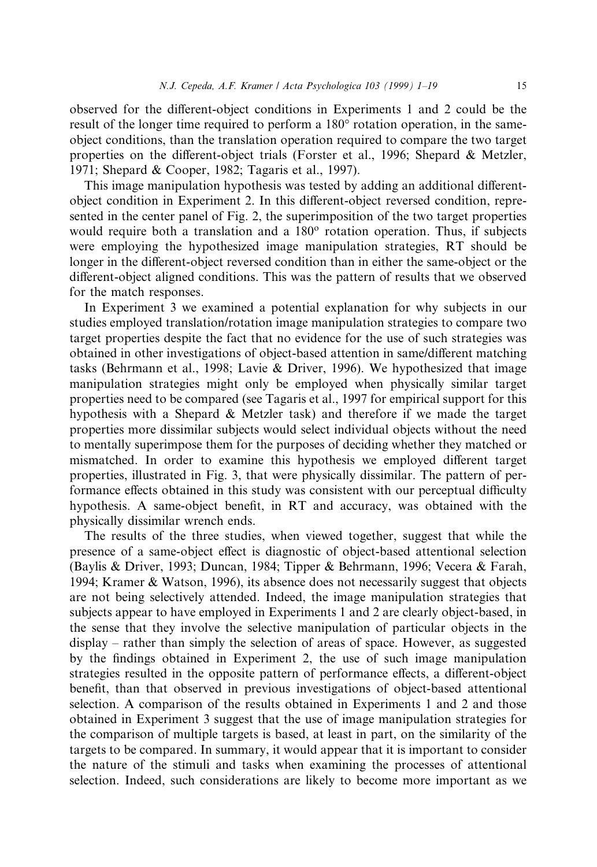observed for the different-object conditions in Experiments 1 and 2 could be the result of the longer time required to perform a 180° rotation operation, in the sameobject conditions, than the translation operation required to compare the two target properties on the different-object trials (Forster et al., 1996; Shepard  $\&$  Metzler, 1971; Shepard & Cooper, 1982; Tagaris et al., 1997).

This image manipulation hypothesis was tested by adding an additional differentobject condition in Experiment 2. In this different-object reversed condition, represented in the center panel of Fig. 2, the superimposition of the two target properties would require both a translation and a  $180^\circ$  rotation operation. Thus, if subjects were employing the hypothesized image manipulation strategies, RT should be longer in the different-object reversed condition than in either the same-object or the different-object aligned conditions. This was the pattern of results that we observed for the match responses.

In Experiment 3 we examined a potential explanation for why subjects in our studies employed translation/rotation image manipulation strategies to compare two target properties despite the fact that no evidence for the use of such strategies was obtained in other investigations of object-based attention in same/different matching tasks (Behrmann et al., 1998; Lavie & Driver, 1996). We hypothesized that image manipulation strategies might only be employed when physically similar target properties need to be compared (see Tagaris et al., 1997 for empirical support for this hypothesis with a Shepard & Metzler task) and therefore if we made the target properties more dissimilar subjects would select individual objects without the need to mentally superimpose them for the purposes of deciding whether they matched or mismatched. In order to examine this hypothesis we employed different target properties, illustrated in Fig. 3, that were physically dissimilar. The pattern of performance effects obtained in this study was consistent with our perceptual difficulty hypothesis. A same-object benefit, in RT and accuracy, was obtained with the physically dissimilar wrench ends.

The results of the three studies, when viewed together, suggest that while the presence of a same-object effect is diagnostic of object-based attentional selection (Baylis & Driver, 1993; Duncan, 1984; Tipper & Behrmann, 1996; Vecera & Farah, 1994; Kramer & Watson, 1996), its absence does not necessarily suggest that objects are not being selectively attended. Indeed, the image manipulation strategies that subjects appear to have employed in Experiments 1 and 2 are clearly object-based, in the sense that they involve the selective manipulation of particular objects in the  $display - rather than simply the selection of areas of space. However, as suggested$ by the findings obtained in Experiment 2, the use of such image manipulation strategies resulted in the opposite pattern of performance effects, a different-object benefit, than that observed in previous investigations of object-based attentional selection. A comparison of the results obtained in Experiments 1 and 2 and those obtained in Experiment 3 suggest that the use of image manipulation strategies for the comparison of multiple targets is based, at least in part, on the similarity of the targets to be compared. In summary, it would appear that it is important to consider the nature of the stimuli and tasks when examining the processes of attentional selection. Indeed, such considerations are likely to become more important as we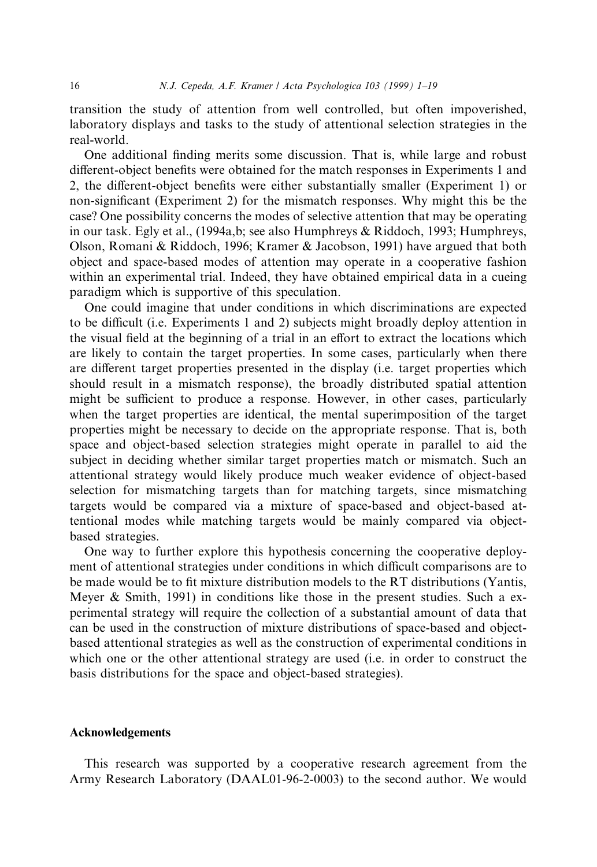transition the study of attention from well controlled, but often impoverished, laboratory displays and tasks to the study of attentional selection strategies in the real-world.

One additional finding merits some discussion. That is, while large and robust different-object benefits were obtained for the match responses in Experiments 1 and 2, the different-object benefits were either substantially smaller (Experiment 1) or non-significant (Experiment 2) for the mismatch responses. Why might this be the case? One possibility concerns the modes of selective attention that may be operating in our task. Egly et al., (1994a,b; see also Humphreys & Riddoch, 1993; Humphreys, Olson, Romani & Riddoch, 1996; Kramer & Jacobson, 1991) have argued that both object and space-based modes of attention may operate in a cooperative fashion within an experimental trial. Indeed, they have obtained empirical data in a cueing paradigm which is supportive of this speculation.

One could imagine that under conditions in which discriminations are expected to be difficult (i.e. Experiments 1 and 2) subjects might broadly deploy attention in the visual field at the beginning of a trial in an effort to extract the locations which are likely to contain the target properties. In some cases, particularly when there are different target properties presented in the display (i.e. target properties which should result in a mismatch response), the broadly distributed spatial attention might be sufficient to produce a response. However, in other cases, particularly when the target properties are identical, the mental superimposition of the target properties might be necessary to decide on the appropriate response. That is, both space and object-based selection strategies might operate in parallel to aid the subject in deciding whether similar target properties match or mismatch. Such an attentional strategy would likely produce much weaker evidence of object-based selection for mismatching targets than for matching targets, since mismatching targets would be compared via a mixture of space-based and object-based attentional modes while matching targets would be mainly compared via objectbased strategies.

One way to further explore this hypothesis concerning the cooperative deployment of attentional strategies under conditions in which difficult comparisons are to be made would be to fit mixture distribution models to the RT distributions (Yantis, Meyer & Smith, 1991) in conditions like those in the present studies. Such a experimental strategy will require the collection of a substantial amount of data that can be used in the construction of mixture distributions of space-based and objectbased attentional strategies as well as the construction of experimental conditions in which one or the other attentional strategy are used (i.e. in order to construct the basis distributions for the space and object-based strategies).

# Acknowledgements

This research was supported by a cooperative research agreement from the Army Research Laboratory (DAAL01-96-2-0003) to the second author. We would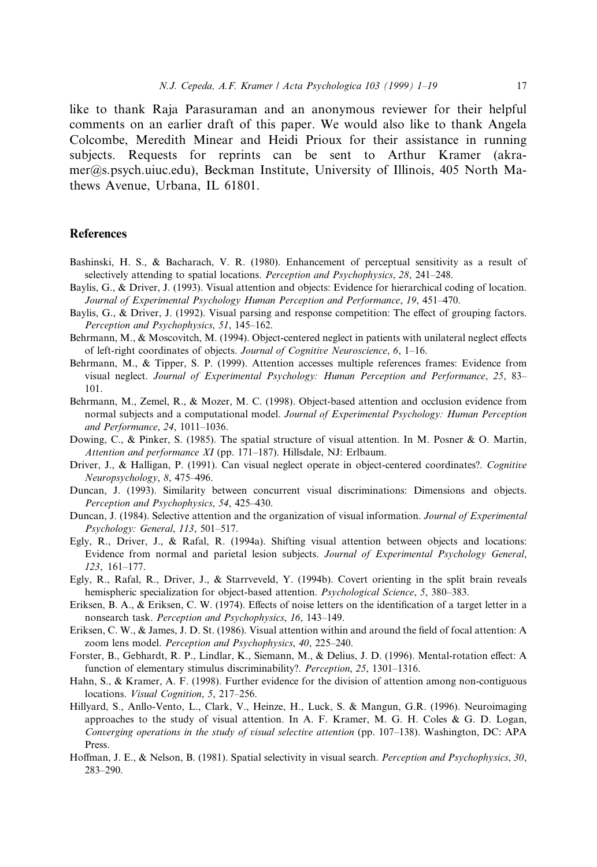like to thank Raja Parasuraman and an anonymous reviewer for their helpful comments on an earlier draft of this paper. We would also like to thank Angela Colcombe, Meredith Minear and Heidi Prioux for their assistance in running subjects. Requests for reprints can be sent to Arthur Kramer (akramer@s.psych.uiuc.edu), Beckman Institute, University of Illinois, 405 North Mathews Avenue, Urbana, IL 61801.

#### References

- Bashinski, H. S., & Bacharach, V. R. (1980). Enhancement of perceptual sensitivity as a result of selectively attending to spatial locations. Perception and Psychophysics, 28, 241-248.
- Baylis, G., & Driver, J. (1993). Visual attention and objects: Evidence for hierarchical coding of location. Journal of Experimental Psychology Human Perception and Performance, 19, 451-470.
- Baylis, G., & Driver, J. (1992). Visual parsing and response competition: The effect of grouping factors. Perception and Psychophysics, 51, 145-162.
- Behrmann, M., & Moscovitch, M. (1994). Object-centered neglect in patients with unilateral neglect effects of left-right coordinates of objects. Journal of Cognitive Neuroscience, 6, 1–16.
- Behrmann, M., & Tipper, S. P. (1999). Attention accesses multiple references frames: Evidence from visual neglect. Journal of Experimental Psychology: Human Perception and Performance, 25, 83-101.
- Behrmann, M., Zemel, R., & Mozer, M. C. (1998). Object-based attention and occlusion evidence from normal subjects and a computational model. Journal of Experimental Psychology: Human Perception and Performance, 24, 1011-1036.
- Dowing, C., & Pinker, S. (1985). The spatial structure of visual attention. In M. Posner & O. Martin, Attention and performance XI (pp. 171-187). Hillsdale, NJ: Erlbaum.
- Driver, J., & Halligan, P. (1991). Can visual neglect operate in object-centered coordinates?. Cognitive Neuropsychology, 8, 475-496.
- Duncan, J. (1993). Similarity between concurrent visual discriminations: Dimensions and objects. Perception and Psychophysics, 54, 425-430.
- Duncan, J. (1984). Selective attention and the organization of visual information. *Journal of Experimental* Psychology: General, 113, 501-517.
- Egly, R., Driver, J., & Rafal, R. (1994a). Shifting visual attention between objects and locations: Evidence from normal and parietal lesion subjects. Journal of Experimental Psychology General, 123, 161±177.
- Egly, R., Rafal, R., Driver, J., & Starrveveld, Y. (1994b). Covert orienting in the split brain reveals hemispheric specialization for object-based attention. *Psychological Science*, 5, 380–383.
- Eriksen, B. A., & Eriksen, C. W. (1974). Effects of noise letters on the identification of a target letter in a nonsearch task. Perception and Psychophysics, 16, 143-149.
- Eriksen, C. W., & James, J. D. St. (1986). Visual attention within and around the field of focal attention: A zoom lens model. Perception and Psychophysics, 40, 225-240.
- Forster, B., Gebhardt, R. P., Lindlar, K., Siemann, M., & Delius, J. D. (1996). Mental-rotation effect: A function of elementary stimulus discriminability?. Perception, 25, 1301-1316.
- Hahn, S., & Kramer, A. F. (1998). Further evidence for the division of attention among non-contiguous locations. Visual Cognition, 5, 217-256.
- Hillyard, S., Anllo-Vento, L., Clark, V., Heinze, H., Luck, S. & Mangun, G.R. (1996). Neuroimaging approaches to the study of visual attention. In A. F. Kramer, M. G. H. Coles & G. D. Logan, Converging operations in the study of visual selective attention (pp.  $107-138$ ). Washington, DC: APA Press.
- Hoffman, J. E., & Nelson, B. (1981). Spatial selectivity in visual search. Perception and Psychophysics, 30, 283±290.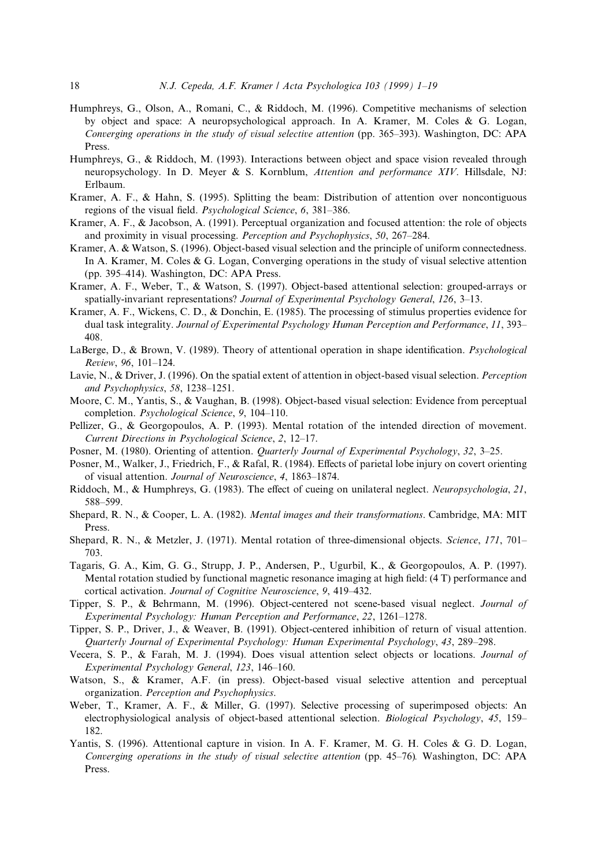- Humphreys, G., Olson, A., Romani, C., & Riddoch, M. (1996). Competitive mechanisms of selection by object and space: A neuropsychological approach. In A. Kramer, M. Coles & G. Logan, Converging operations in the study of visual selective attention (pp. 365–393). Washington, DC: APA Press.
- Humphreys, G., & Riddoch, M. (1993). Interactions between object and space vision revealed through neuropsychology. In D. Meyer & S. Kornblum, Attention and performance XIV. Hillsdale, NJ: Erlbaum.
- Kramer, A. F., & Hahn, S. (1995). Splitting the beam: Distribution of attention over noncontiguous regions of the visual field. *Psychological Science*, 6, 381–386.
- Kramer, A. F., & Jacobson, A. (1991). Perceptual organization and focused attention: the role of objects and proximity in visual processing. *Perception and Psychophysics*, 50, 267–284.
- Kramer, A. & Watson, S. (1996). Object-based visual selection and the principle of uniform connectedness. In A. Kramer, M. Coles & G. Logan, Converging operations in the study of visual selective attention (pp. 395–414). Washington, DC: APA Press.
- Kramer, A. F., Weber, T., & Watson, S. (1997). Object-based attentional selection: grouped-arrays or spatially-invariant representations? Journal of Experimental Psychology General, 126, 3-13.
- Kramer, A. F., Wickens, C. D., & Donchin, E. (1985). The processing of stimulus properties evidence for dual task integrality. Journal of Experimental Psychology Human Perception and Performance, 11, 393-408.
- LaBerge, D., & Brown, V. (1989). Theory of attentional operation in shape identification. *Psychological* Review, 96, 101-124.
- Lavie, N., & Driver, J. (1996). On the spatial extent of attention in object-based visual selection. *Perception* and Psychophysics, 58, 1238-1251.
- Moore, C. M., Yantis, S., & Vaughan, B. (1998). Object-based visual selection: Evidence from perceptual completion. Psychological Science, 9, 104-110.
- Pellizer, G., & Georgopoulos, A. P. (1993). Mental rotation of the intended direction of movement. Current Directions in Psychological Science, 2, 12-17.
- Posner, M. (1980). Orienting of attention. *Quarterly Journal of Experimental Psychology*, 32, 3–25.
- Posner, M., Walker, J., Friedrich, F., & Rafal, R. (1984). Effects of parietal lobe injury on covert orienting of visual attention. Journal of Neuroscience, 4, 1863-1874.
- Riddoch, M., & Humphreys, G. (1983). The effect of cueing on unilateral neglect. Neuropsychologia, 21, 588±599.
- Shepard, R. N., & Cooper, L. A. (1982). Mental images and their transformations. Cambridge, MA: MIT Press.
- Shepard, R. N., & Metzler, J. (1971). Mental rotation of three-dimensional objects. Science, 171, 701– 703.
- Tagaris, G. A., Kim, G. G., Strupp, J. P., Andersen, P., Ugurbil, K., & Georgopoulos, A. P. (1997). Mental rotation studied by functional magnetic resonance imaging at high field:  $(4 T)$  performance and cortical activation. Journal of Cognitive Neuroscience, 9, 419-432.
- Tipper, S. P., & Behrmann, M. (1996). Object-centered not scene-based visual neglect. Journal of Experimental Psychology: Human Perception and Performance, 22, 1261-1278.
- Tipper, S. P., Driver, J., & Weaver, B. (1991). Object-centered inhibition of return of visual attention. Quarterly Journal of Experimental Psychology: Human Experimental Psychology, 43, 289-298.
- Vecera, S. P., & Farah, M. J. (1994). Does visual attention select objects or locations. Journal of Experimental Psychology General, 123, 146-160.
- Watson, S., & Kramer, A.F. (in press). Object-based visual selective attention and perceptual organization. Perception and Psychophysics.
- Weber, T., Kramer, A. F., & Miller, G. (1997). Selective processing of superimposed objects: An electrophysiological analysis of object-based attentional selection. Biological Psychology, 45, 159-182.
- Yantis, S. (1996). Attentional capture in vision. In A. F. Kramer, M. G. H. Coles & G. D. Logan, Converging operations in the study of visual selective attention (pp.  $45-76$ ). Washington, DC: APA Press.